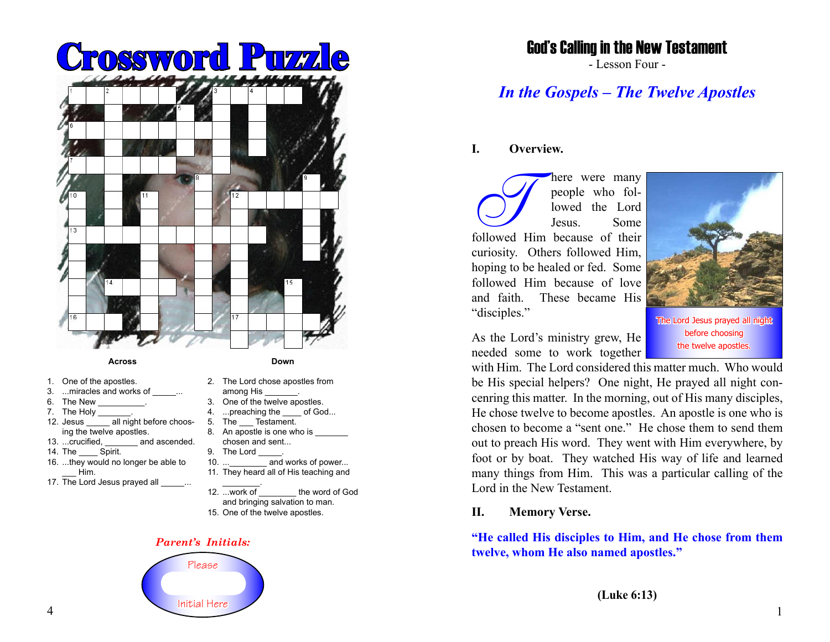

#### **Across**

- 1. One of the apostles.
- 3. ...miracles and works of
- 6. The New
- 7. The Holy
- 12. Jesus all night before choosing the twelve apostles.
- 13. ...crucified, and ascended.
- 14. The \_\_\_\_ Spirit.
- 16. ...they would no longer be able to \_\_\_ Him.
- 17. The Lord Jesus prayed all  $\ldots$
- **Down**
- 2. The Lord chose apostles from among His
- 3. One of the twelve apostles.
- 4. ...preaching the \_\_\_\_ of God...
- 5. The Testament.
- 8. An apostle is one who is
- chosen and sent...
- 9. The Lord
- 10. ... **and works of power...** 11. They heard all of His teaching and
- 
- 12.  $\overline{\ldots}$  work of the word of God and bringing salvation to man. 15. One of the twelve apostles.

#### *Parent's Initials:*



### God's Calling in the New Testament

- Lesson Four -

# *In the Gospels – The Twelve Apostles*

### **I. Overview.**

here were many<br>
people who fol-<br>
lowed the Lord<br>
Jesus. Some<br>
followed Him because of their people who followed the Lord Jesus. Some curiosity. Others followed Him, hoping to be healed or fed. Some followed Him because of love and faith. These became His "disciples."



As the Lord's ministry grew, He needed some to work together The Lord Jesus prayed all night before choosing the twelve apostles.

with Him. The Lord considered this matter much. Who would be His special helpers? One night, He prayed all night concenring this matter. In the morning, out of His many disciples, He chose twelve to become apostles. An apostle is one who is chosen to become a "sent one." He chose them to send them out to preach His word. They went with Him everywhere, by foot or by boat. They watched His way of life and learned many things from Him. This was a particular calling of the Lord in the New Testament.

#### **II. Memory Verse.**

### **"He called His disciples to Him, and He chose from them twelve, whom He also named apostles."**

**(Luke 6:13)**